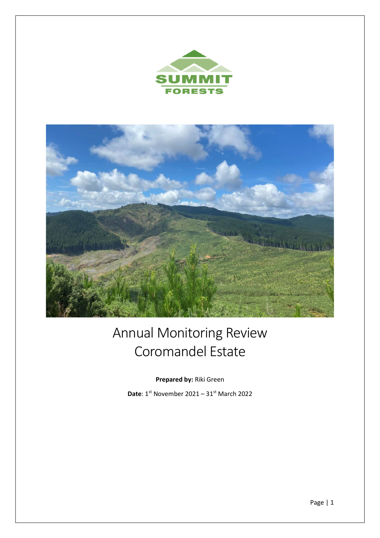



# Annual Monitoring Review Coromandel Estate

**Prepared by:** Riki Green

**Date**: 1st November 2021 – 31st March 2022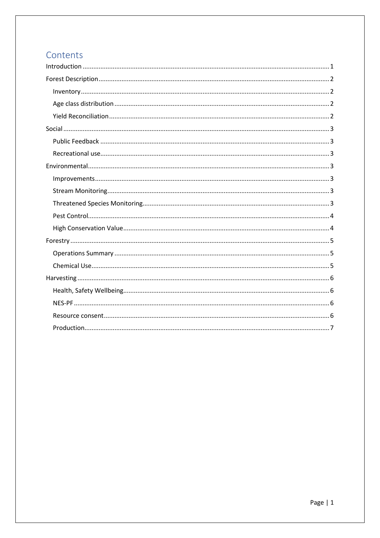## Contents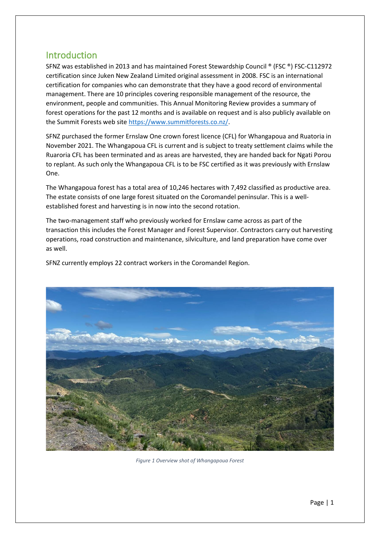## <span id="page-2-0"></span>Introduction

SFNZ was established in 2013 and has maintained Forest Stewardship Council ® (FSC ®) FSC-C112972 certification since Juken New Zealand Limited original assessment in 2008. FSC is an international certification for companies who can demonstrate that they have a good record of environmental management. There are 10 principles covering responsible management of the resource, the environment, people and communities. This Annual Monitoring Review provides a summary of forest operations for the past 12 months and is available on request and is also publicly available on the Summit Forests web sit[e https://www.summitforests.co.nz/.](https://www.summitforests.co.nz/)

SFNZ purchased the former Ernslaw One crown forest licence (CFL) for Whangapoua and Ruatoria in November 2021. The Whangapoua CFL is current and is subject to treaty settlement claims while the Ruaroria CFL has been terminated and as areas are harvested, they are handed back for Ngati Porou to replant. As such only the Whangapoua CFL is to be FSC certified as it was previously with Ernslaw One.

The Whangapoua forest has a total area of 10,246 hectares with 7,492 classified as productive area. The estate consists of one large forest situated on the Coromandel peninsular. This is a wellestablished forest and harvesting is in now into the second rotation.

The two-management staff who previously worked for Ernslaw came across as part of the transaction this includes the Forest Manager and Forest Supervisor. Contractors carry out harvesting operations, road construction and maintenance, silviculture, and land preparation have come over as well.

SFNZ currently employs 22 contract workers in the Coromandel Region.



*Figure 1 Overview shot of Whangapoua Forest*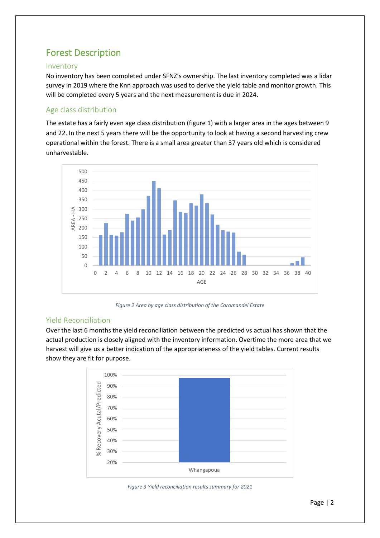# <span id="page-3-0"></span>Forest Description

#### <span id="page-3-1"></span>Inventory

No inventory has been completed under SFNZ's ownership. The last inventory completed was a lidar survey in 2019 where the Knn approach was used to derive the yield table and monitor growth. This will be completed every 5 years and the next measurement is due in 2024.

#### <span id="page-3-2"></span>Age class distribution

The estate has a fairly even age class distribution (figure 1) with a larger area in the ages between 9 and 22. In the next 5 years there will be the opportunity to look at having a second harvesting crew operational within the forest. There is a small area greater than 37 years old which is considered unharvestable.



*Figure 2 Area by age class distribution of the Coromandel Estate*

#### <span id="page-3-3"></span>Yield Reconciliation

Over the last 6 months the yield reconciliation between the predicted vs actual has shown that the actual production is closely aligned with the inventory information. Overtime the more area that we harvest will give us a better indication of the appropriateness of the yield tables. Current results show they are fit for purpose.



*Figure 3 Yield reconciliation results summary for 2021*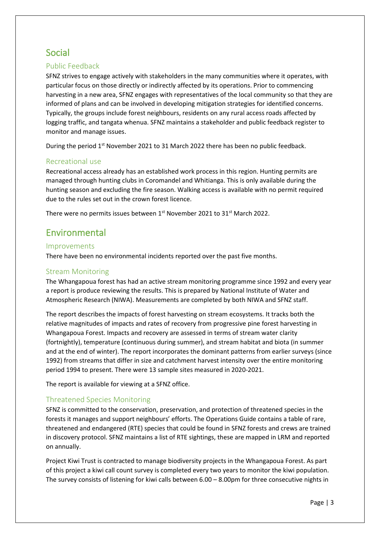## <span id="page-4-0"></span>Social

#### <span id="page-4-1"></span>Public Feedback

SFNZ strives to engage actively with stakeholders in the many communities where it operates, with particular focus on those directly or indirectly affected by its operations. Prior to commencing harvesting in a new area, SFNZ engages with representatives of the local community so that they are informed of plans and can be involved in developing mitigation strategies for identified concerns. Typically, the groups include forest neighbours, residents on any rural access roads affected by logging traffic, and tangata whenua. SFNZ maintains a stakeholder and public feedback register to monitor and manage issues.

During the period 1<sup>st</sup> November 2021 to 31 March 2022 there has been no public feedback.

#### <span id="page-4-2"></span>Recreational use

Recreational access already has an established work process in this region. Hunting permits are managed through hunting clubs in Coromandel and Whitianga. This is only available during the hunting season and excluding the fire season. Walking access is available with no permit required due to the rules set out in the crown forest licence.

There were no permits issues between 1<sup>st</sup> November 2021 to 31<sup>st</sup> March 2022.

### <span id="page-4-3"></span>Environmental

#### <span id="page-4-4"></span>Improvements

There have been no environmental incidents reported over the past five months.

#### <span id="page-4-5"></span>Stream Monitoring

The Whangapoua forest has had an active stream monitoring programme since 1992 and every year a report is produce reviewing the results. This is prepared by National Institute of Water and Atmospheric Research (NIWA). Measurements are completed by both NIWA and SFNZ staff.

The report describes the impacts of forest harvesting on stream ecosystems. It tracks both the relative magnitudes of impacts and rates of recovery from progressive pine forest harvesting in Whangapoua Forest. Impacts and recovery are assessed in terms of stream water clarity (fortnightly), temperature (continuous during summer), and stream habitat and biota (in summer and at the end of winter). The report incorporates the dominant patterns from earlier surveys (since 1992) from streams that differ in size and catchment harvest intensity over the entire monitoring period 1994 to present. There were 13 sample sites measured in 2020-2021.

The report is available for viewing at a SFNZ office.

#### <span id="page-4-6"></span>Threatened Species Monitoring

SFNZ is committed to the conservation, preservation, and protection of threatened species in the forests it manages and support neighbours' efforts. The Operations Guide contains a table of rare, threatened and endangered (RTE) species that could be found in SFNZ forests and crews are trained in discovery protocol. SFNZ maintains a list of RTE sightings, these are mapped in LRM and reported on annually.

Project Kiwi Trust is contracted to manage biodiversity projects in the Whangapoua Forest. As part of this project a kiwi call count survey is completed every two years to monitor the kiwi population. The survey consists of listening for kiwi calls between 6.00 – 8.00pm for three consecutive nights in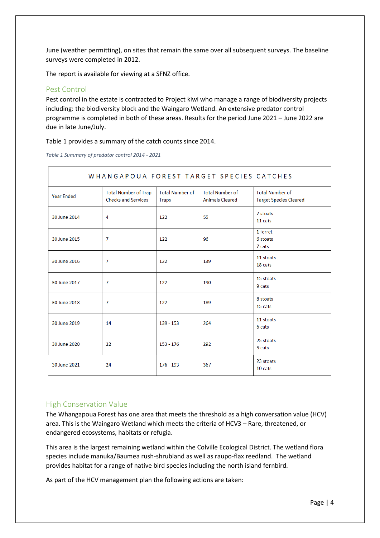June (weather permitting), on sites that remain the same over all subsequent surveys. The baseline surveys were completed in 2012.

The report is available for viewing at a SFNZ office.

#### <span id="page-5-0"></span>Pest Control

Pest control in the estate is contracted to Project kiwi who manage a range of biodiversity projects including: the biodiversity block and the Waingaro Wetland. An extensive predator control programme is completed in both of these areas. Results for the period June 2021 – June 2022 are due in late June/July.

Table 1 provides a summary of the catch counts since 2014.

*Table 1 Summary of predator control 2014 - 2021*

| WHANGAPOUA FOREST TARGET SPECIES CATCHES |                                                           |                                        |                                                  |                                                         |
|------------------------------------------|-----------------------------------------------------------|----------------------------------------|--------------------------------------------------|---------------------------------------------------------|
| <b>Year Ended</b>                        | <b>Total Number of Trap</b><br><b>Checks and Services</b> | <b>Total Number of</b><br><b>Traps</b> | <b>Total Number of</b><br><b>Animals Cleared</b> | <b>Total Number of</b><br><b>Target Species Cleared</b> |
| 30 June 2014                             | 4                                                         | 122                                    | 55                                               | 7 stoats<br>11 cats                                     |
| 30 June 2015                             | $\overline{7}$                                            | 122                                    | 96                                               | 1 ferret<br>6 stoats<br>7 cats                          |
| 30 June 2016                             | $\overline{7}$                                            | 122                                    | 139                                              | 11 stoats<br>18 cats                                    |
| 30 June 2017                             | $\overline{7}$                                            | 122                                    | 190                                              | 15 stoats<br>9 cats                                     |
| 30 June 2018                             | $\overline{7}$                                            | 122                                    | 189                                              | 8 stoats<br>15 cats                                     |
| 30 June 2019                             | 14                                                        | $139 - 153$                            | 264                                              | 11 stoats<br>6 cats                                     |
| 30 June 2020                             | 22                                                        | $153 - 176$                            | 292                                              | 25 stoats<br>5 cats                                     |
| 30 June 2021                             | 24                                                        | $176 - 193$                            | 367                                              | 23 stoats<br>10 cats                                    |

#### <span id="page-5-1"></span>High Conservation Value

The Whangapoua Forest has one area that meets the threshold as a high conversation value (HCV) area. This is the Waingaro Wetland which meets the criteria of HCV3 – Rare, threatened, or endangered ecosystems, habitats or refugia.

This area is the largest remaining wetland within the Colville Ecological District. The wetland flora species include manuka/Baumea rush-shrubland as well as raupo-flax reedland. The wetland provides habitat for a range of native bird species including the north island fernbird.

As part of the HCV management plan the following actions are taken: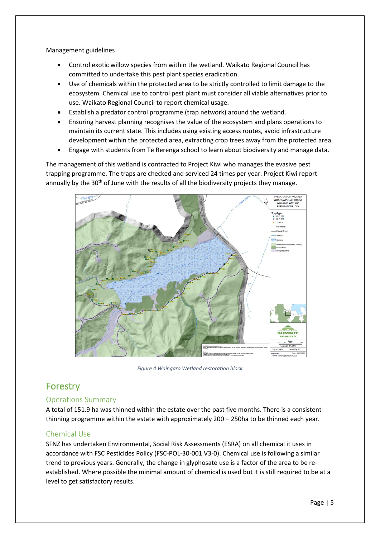Management guidelines

- Control exotic willow species from within the wetland. Waikato Regional Council has committed to undertake this pest plant species eradication.
- Use of chemicals within the protected area to be strictly controlled to limit damage to the ecosystem. Chemical use to control pest plant must consider all viable alternatives prior to use. Waikato Regional Council to report chemical usage.
- Establish a predator control programme (trap network) around the wetland.
- Ensuring harvest planning recognises the value of the ecosystem and plans operations to maintain its current state. This includes using existing access routes, avoid infrastructure development within the protected area, extracting crop trees away from the protected area.
- Engage with students from Te Rerenga school to learn about biodiversity and manage data.

The management of this wetland is contracted to Project Kiwi who manages the evasive pest trapping programme. The traps are checked and serviced 24 times per year. Project Kiwi report annually by the 30<sup>th</sup> of June with the results of all the biodiversity projects they manage.



*Figure 4 Waingaro Wetland restoration block*

## <span id="page-6-0"></span>Forestry

#### <span id="page-6-1"></span>Operations Summary

A total of 151.9 ha was thinned within the estate over the past five months. There is a consistent thinning programme within the estate with approximately 200 – 250ha to be thinned each year.

#### <span id="page-6-2"></span>Chemical Use

SFNZ has undertaken Environmental, Social Risk Assessments (ESRA) on all chemical it uses in accordance with FSC Pesticides Policy (FSC-POL-30-001 V3-0). Chemical use is following a similar trend to previous years. Generally, the change in glyphosate use is a factor of the area to be reestablished. Where possible the minimal amount of chemical is used but it is still required to be at a level to get satisfactory results.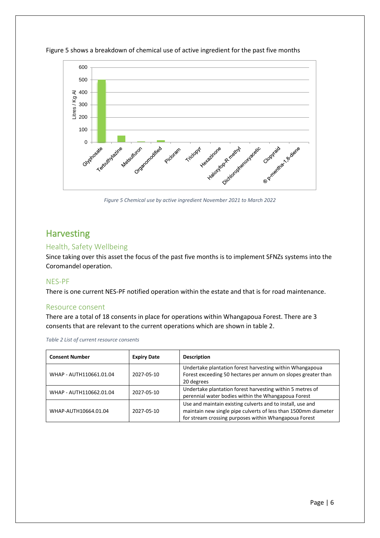

Figure 5 shows a breakdown of chemical use of active ingredient for the past five months

*Figure 5 Chemical use by active ingredient November 2021 to March 2022*

## <span id="page-7-0"></span>**Harvesting**

#### <span id="page-7-1"></span>Health, Safety Wellbeing

Since taking over this asset the focus of the past five months is to implement SFNZs systems into the Coromandel operation.

#### <span id="page-7-2"></span>NES-PF

There is one current NES-PF notified operation within the estate and that is for road maintenance.

#### <span id="page-7-3"></span>Resource consent

There are a total of 18 consents in place for operations within Whangapoua Forest. There are 3 consents that are relevant to the current operations which are shown in table 2.

*Table 2 List of current resource consents*

<span id="page-7-4"></span>

| <b>Consent Number</b>   | <b>Expiry Date</b> | <b>Description</b>                                                                                                                                                                    |
|-------------------------|--------------------|---------------------------------------------------------------------------------------------------------------------------------------------------------------------------------------|
| WHAP - AUTH110661.01.04 | 2027-05-10         | Undertake plantation forest harvesting within Whangapoua<br>Forest exceeding 50 hectares per annum on slopes greater than<br>20 degrees                                               |
| WHAP - AUTH110662.01.04 | 2027-05-10         | Undertake plantation forest harvesting within 5 metres of<br>perennial water bodies within the Whangapoua Forest                                                                      |
| WHAP-AUTH10664.01.04    | 2027-05-10         | Use and maintain existing culverts and to install, use and<br>maintain new single pipe culverts of less than 1500mm diameter<br>for stream crossing purposes within Whangapoua Forest |